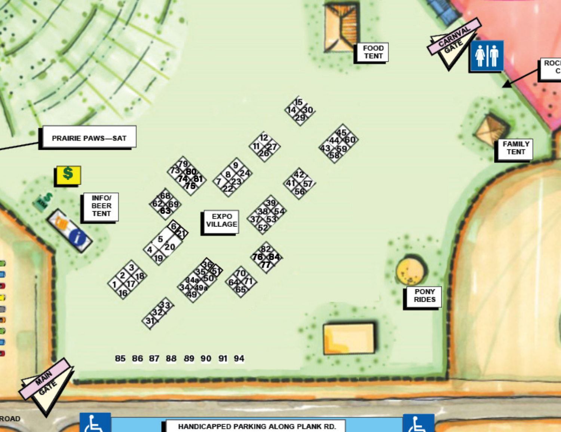